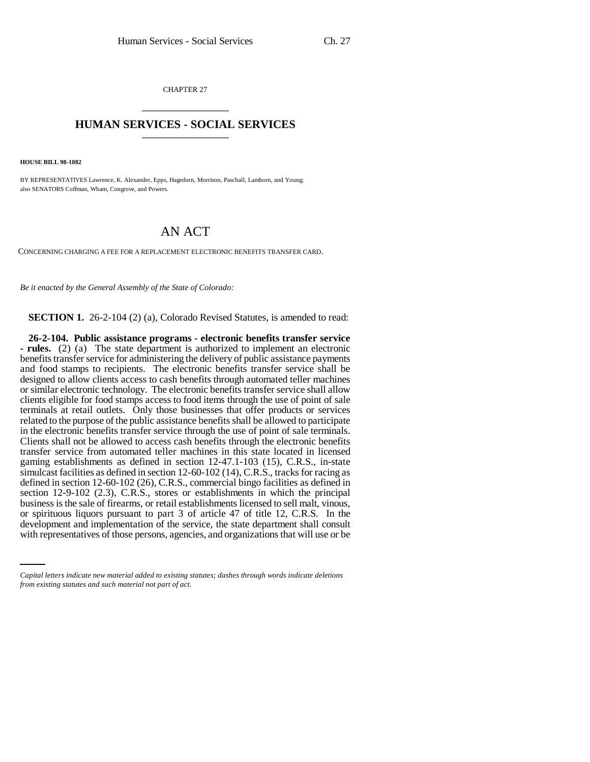CHAPTER 27 \_\_\_\_\_\_\_\_\_\_\_\_\_\_\_

## **HUMAN SERVICES - SOCIAL SERVICES** \_\_\_\_\_\_\_\_\_\_\_\_\_\_\_

**HOUSE BILL 98-1082**

BY REPRESENTATIVES Lawrence, K. Alexander, Epps, Hagedorn, Morrison, Paschall, Lamborn, and Young; also SENATORS Coffman, Wham, Congrove, and Powers.

## AN ACT

CONCERNING CHARGING A FEE FOR A REPLACEMENT ELECTRONIC BENEFITS TRANSFER CARD.

*Be it enacted by the General Assembly of the State of Colorado:*

**SECTION 1.** 26-2-104 (2) (a), Colorado Revised Statutes, is amended to read:

or spirituous liquors pursuant to part 3 of article 47 of title 12, C.R.S. In the **26-2-104. Public assistance programs - electronic benefits transfer service - rules.** (2) (a) The state department is authorized to implement an electronic benefits transfer service for administering the delivery of public assistance payments and food stamps to recipients. The electronic benefits transfer service shall be designed to allow clients access to cash benefits through automated teller machines or similar electronic technology. The electronic benefits transfer service shall allow clients eligible for food stamps access to food items through the use of point of sale terminals at retail outlets. Only those businesses that offer products or services related to the purpose of the public assistance benefits shall be allowed to participate in the electronic benefits transfer service through the use of point of sale terminals. Clients shall not be allowed to access cash benefits through the electronic benefits transfer service from automated teller machines in this state located in licensed gaming establishments as defined in section 12-47.1-103 (15), C.R.S., in-state simulcast facilities as defined in section 12-60-102 (14), C.R.S., tracks for racing as defined in section 12-60-102 (26), C.R.S., commercial bingo facilities as defined in section 12-9-102 (2.3), C.R.S., stores or establishments in which the principal business is the sale of firearms, or retail establishments licensed to sell malt, vinous, development and implementation of the service, the state department shall consult with representatives of those persons, agencies, and organizations that will use or be

*Capital letters indicate new material added to existing statutes; dashes through words indicate deletions from existing statutes and such material not part of act.*